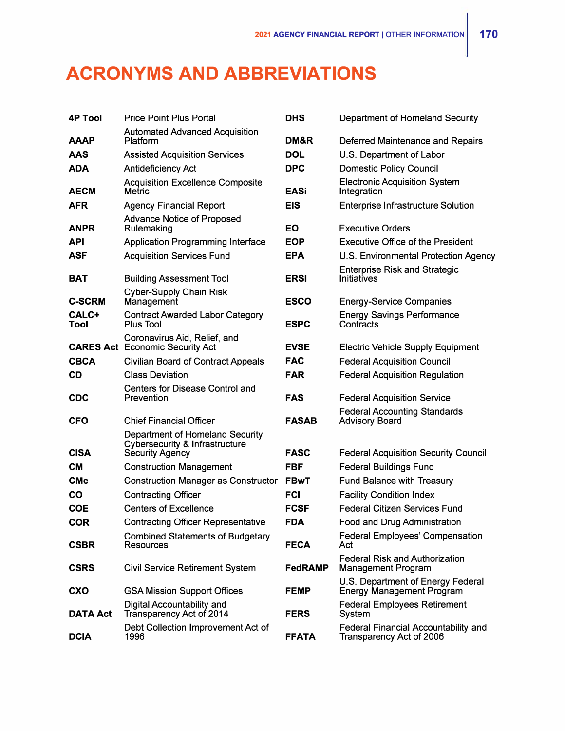## **ACRONYMS AND ABBREVIATIONS**

| <b>4P Tool</b> | <b>Price Point Plus Portal</b>                                                                         | <b>DHS</b>   | Department of Homeland Security                                       |
|----------------|--------------------------------------------------------------------------------------------------------|--------------|-----------------------------------------------------------------------|
| <b>AAAP</b>    | <b>Automated Advanced Acquisition</b><br><b>Platform</b>                                               | DM&R         | Deferred Maintenance and Repairs                                      |
| AAS            | <b>Assisted Acquisition Services</b>                                                                   | <b>DOL</b>   | U.S. Department of Labor                                              |
| <b>ADA</b>     | Antideficiency Act                                                                                     | <b>DPC</b>   | <b>Domestic Policy Council</b>                                        |
| <b>AECM</b>    | <b>Acquisition Excellence Composite</b><br><b>Metric</b>                                               | <b>EASi</b>  | <b>Electronic Acquisition System</b><br>Integration                   |
| <b>AFR</b>     | <b>Agency Financial Report</b>                                                                         | <b>EIS</b>   | <b>Enterprise Infrastructure Solution</b>                             |
| <b>ANPR</b>    | <b>Advance Notice of Proposed</b><br>Rulemaking                                                        | <b>EO</b>    | <b>Executive Orders</b>                                               |
| <b>API</b>     | <b>Application Programming Interface</b>                                                               | <b>EOP</b>   | Executive Office of the President                                     |
| ASF            | <b>Acquisition Services Fund</b>                                                                       | <b>EPA</b>   | U.S. Environmental Protection Agency                                  |
| <b>BAT</b>     | <b>Building Assessment Tool</b>                                                                        | <b>ERSI</b>  | <b>Enterprise Risk and Strategic</b><br><b>Initiatives</b>            |
| <b>C-SCRM</b>  | <b>Cyber-Supply Chain Risk</b><br>Management                                                           | <b>ESCO</b>  | <b>Energy-Service Companies</b>                                       |
| CALC+<br>Tool  | <b>Contract Awarded Labor Category</b><br><b>Plus Tool</b>                                             | <b>ESPC</b>  | <b>Energy Savings Performance</b><br>Contracts                        |
|                | Coronavirus Aid, Relief, and<br><b>CARES Act</b> Economic Security Act                                 | <b>EVSE</b>  | <b>Electric Vehicle Supply Equipment</b>                              |
| <b>CBCA</b>    | <b>Civilian Board of Contract Appeals</b>                                                              | <b>FAC</b>   | <b>Federal Acquisition Council</b>                                    |
| CD             | <b>Class Deviation</b>                                                                                 | <b>FAR</b>   | <b>Federal Acquisition Regulation</b>                                 |
| <b>CDC</b>     | <b>Centers for Disease Control and</b><br>Prevention                                                   | <b>FAS</b>   | <b>Federal Acquisition Service</b>                                    |
| <b>CFO</b>     | <b>Chief Financial Officer</b>                                                                         | <b>FASAB</b> | <b>Federal Accounting Standards</b><br><b>Advisory Board</b>          |
| <b>CISA</b>    | <b>Department of Homeland Security</b><br><b>Cybersecurity &amp; Infrastructure</b><br>Security Agency | <b>FASC</b>  | <b>Federal Acquisition Security Council</b>                           |
| CМ             | <b>Construction Management</b>                                                                         | <b>FBF</b>   | <b>Federal Buildings Fund</b>                                         |
| <b>CMc</b>     | <b>Construction Manager as Constructor</b>                                                             | <b>FBwT</b>  | <b>Fund Balance with Treasury</b>                                     |
| CO             | <b>Contracting Officer</b>                                                                             | <b>FCI</b>   | <b>Facility Condition Index</b>                                       |
| <b>COE</b>     | <b>Centers of Excellence</b>                                                                           | <b>FCSF</b>  | <b>Federal Citizen Services Fund</b>                                  |
| <b>COR</b>     | <b>Contracting Officer Representative</b>                                                              | <b>FDA</b>   | Food and Drug Administration                                          |
| <b>CSBR</b>    | <b>Combined Statements of Budgetary</b><br>Resources                                                   | <b>FECA</b>  | <b>Federal Employees' Compensation</b><br>Act                         |
| <b>CSRS</b>    | <b>Civil Service Retirement System</b>                                                                 | FedRAMP      | <b>Federal Risk and Authorization</b><br><b>Management Program</b>    |
| CXO            | <b>GSA Mission Support Offices</b>                                                                     | <b>FEMP</b>  | U.S. Department of Energy Federal<br><b>Energy Management Program</b> |
| DATA Act       | Digital Accountability and<br>Transparency Act of 2014                                                 | <b>FERS</b>  | <b>Federal Employees Retirement</b><br>System                         |
| <b>DCIA</b>    | Debt Collection Improvement Act of<br>1996                                                             | <b>FFATA</b> | Federal Financial Accountability and<br>Transparency Act of 2006      |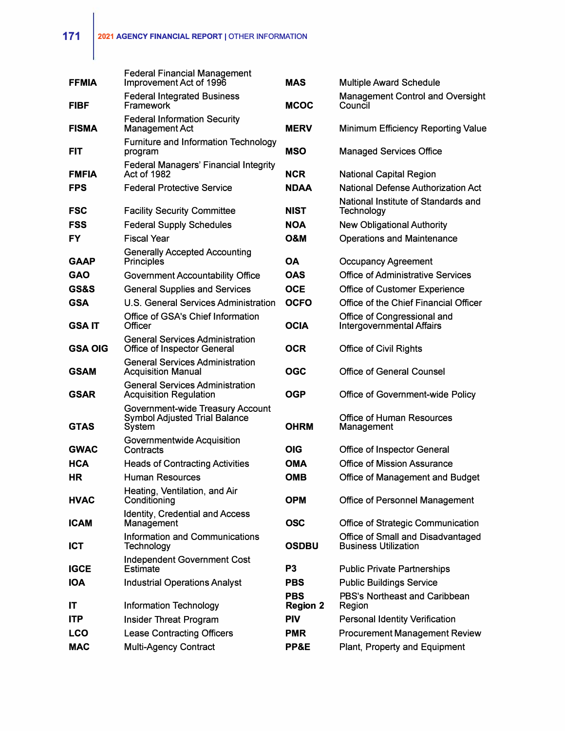| <b>FFMIA</b>   | <b>Federal Financial Management</b><br>Improvement Act of 1996              | <b>MAS</b>                    | <b>Multiple Award Schedule</b>                                   |
|----------------|-----------------------------------------------------------------------------|-------------------------------|------------------------------------------------------------------|
| <b>FIBF</b>    | <b>Federal Integrated Business</b><br>Framework                             | <b>MCOC</b>                   | <b>Management Control and Oversight</b><br>Council               |
| <b>FISMA</b>   | <b>Federal Information Security</b><br><b>Management Act</b>                | <b>MERV</b>                   | <b>Minimum Efficiency Reporting Value</b>                        |
| FIT            | <b>Furniture and Information Technology</b><br>program                      | <b>MSO</b>                    | <b>Managed Services Office</b>                                   |
| <b>FMFIA</b>   | <b>Federal Managers' Financial Integrity</b><br>Act of 1982                 | <b>NCR</b>                    | <b>National Capital Region</b>                                   |
| <b>FPS</b>     | <b>Federal Protective Service</b>                                           | <b>NDAA</b>                   | <b>National Defense Authorization Act</b>                        |
| <b>FSC</b>     | <b>Facility Security Committee</b>                                          | <b>NIST</b>                   | National Institute of Standards and<br>Technology                |
| <b>FSS</b>     | <b>Federal Supply Schedules</b>                                             | <b>NOA</b>                    | <b>New Obligational Authority</b>                                |
| FY             | <b>Fiscal Year</b>                                                          | <b>O&amp;M</b>                | <b>Operations and Maintenance</b>                                |
| <b>GAAP</b>    | <b>Generally Accepted Accounting</b><br><b>Principles</b>                   | <b>OA</b>                     | <b>Occupancy Agreement</b>                                       |
| <b>GAO</b>     | <b>Government Accountability Office</b>                                     | <b>OAS</b>                    | <b>Office of Administrative Services</b>                         |
| GS&S           | <b>General Supplies and Services</b>                                        | <b>OCE</b>                    | Office of Customer Experience                                    |
| <b>GSA</b>     | U.S. General Services Administration                                        | <b>OCFO</b>                   | Office of the Chief Financial Officer                            |
| <b>GSAIT</b>   | Office of GSA's Chief Information<br>Officer                                | <b>OCIA</b>                   | Office of Congressional and<br><b>Intergovernmental Affairs</b>  |
| <b>GSA OIG</b> | <b>General Services Administration</b><br>Office of Inspector General       | <b>OCR</b>                    | <b>Office of Civil Rights</b>                                    |
| <b>GSAM</b>    | <b>General Services Administration</b><br><b>Acquisition Manual</b>         | <b>OGC</b>                    | <b>Office of General Counsel</b>                                 |
| <b>GSAR</b>    | <b>General Services Administration</b><br><b>Acquisition Regulation</b>     | <b>OGP</b>                    | Office of Government-wide Policy                                 |
| <b>GTAS</b>    | Government-wide Treasury Account<br>Symbol Adjusted Trial Balance<br>System | <b>OHRM</b>                   | <b>Office of Human Resources</b><br>Management                   |
| <b>GWAC</b>    | Governmentwide Acquisition<br>Contracts                                     | OIG                           | Office of Inspector General                                      |
| <b>HCA</b>     | <b>Heads of Contracting Activities</b>                                      | <b>OMA</b>                    | <b>Office of Mission Assurance</b>                               |
| ΗR             | Human Resources                                                             | <b>OMB</b>                    | Office of Management and Budget                                  |
| <b>HVAC</b>    | Heating, Ventilation, and Air<br>Conditioning                               | <b>OPM</b>                    | Office of Personnel Management                                   |
| <b>ICAM</b>    | Identity, Credential and Access<br>Management                               | <b>OSC</b>                    | Office of Strategic Communication                                |
| ICT            | Information and Communications<br>Technology                                | <b>OSDBU</b>                  | Office of Small and Disadvantaged<br><b>Business Utilization</b> |
| IGCE           | Independent Government Cost<br><b>Estimate</b>                              | P <sub>3</sub>                | <b>Public Private Partnerships</b>                               |
| <b>IOA</b>     | <b>Industrial Operations Analyst</b>                                        | <b>PBS</b>                    | <b>Public Buildings Service</b>                                  |
| IT             | <b>Information Technology</b>                                               | <b>PBS</b><br><b>Region 2</b> | PBS's Northeast and Caribbean<br>Region                          |
| ITP            | <b>Insider Threat Program</b>                                               | <b>PIV</b>                    | <b>Personal Identity Verification</b>                            |
| <b>LCO</b>     | <b>Lease Contracting Officers</b>                                           | <b>PMR</b>                    | <b>Procurement Management Review</b>                             |
| <b>MAC</b>     | Multi-Agency Contract                                                       | PP&E                          | Plant, Property and Equipment                                    |